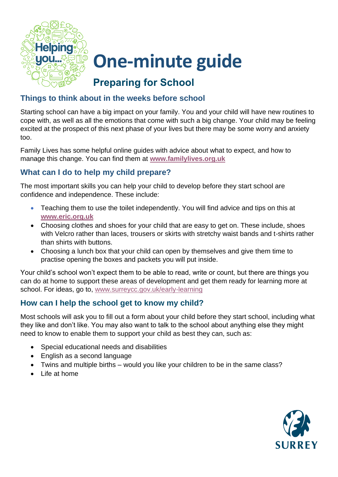

## **One-minute guide**

## **Preparing for School**

### **Things to think about in the weeks before school**

Starting school can have a big impact on your family. You and your child will have new routines to cope with, as well as all the emotions that come with such a big change. Your child may be feeling excited at the prospect of this next phase of your lives but there may be some worry and anxiety too.

Family Lives has some helpful online guides with advice about what to expect, and how to manage this change. You can find them at **[www.familylives.org.uk](https://www.familylives.org.uk/)**

### **What can I do to help my child prepare?**

The most important skills you can help your child to develop before they start school are confidence and independence. These include:

- Teaching them to use the toilet independently. You will find advice and tips on this at **[www.eric.org.uk](https://www.eric.org.uk/)**
- Choosing clothes and shoes for your child that are easy to get on. These include, shoes with Velcro rather than laces, trousers or skirts with stretchy waist bands and t-shirts rather than shirts with buttons.
- Choosing a lunch box that your child can open by themselves and give them time to practise opening the boxes and packets you will put inside.

Your child's school won't expect them to be able to read, write or count, but there are things you can do at home to support these areas of development and get them ready for learning more at school. For ideas, go to, [www.surreycc.gov.uk/early-learning](https://www.surreycc.gov.uk/people-and-community/families/education-and-learning-advice-for-families/early-learning)

### **How can I help the school get to know my child?**

Most schools will ask you to fill out a form about your child before they start school, including what they like and don't like. You may also want to talk to the school about anything else they might need to know to enable them to support your child as best they can, such as:

- Special educational needs and disabilities
- English as a second language
- Twins and multiple births would you like your children to be in the same class?
- Life at home